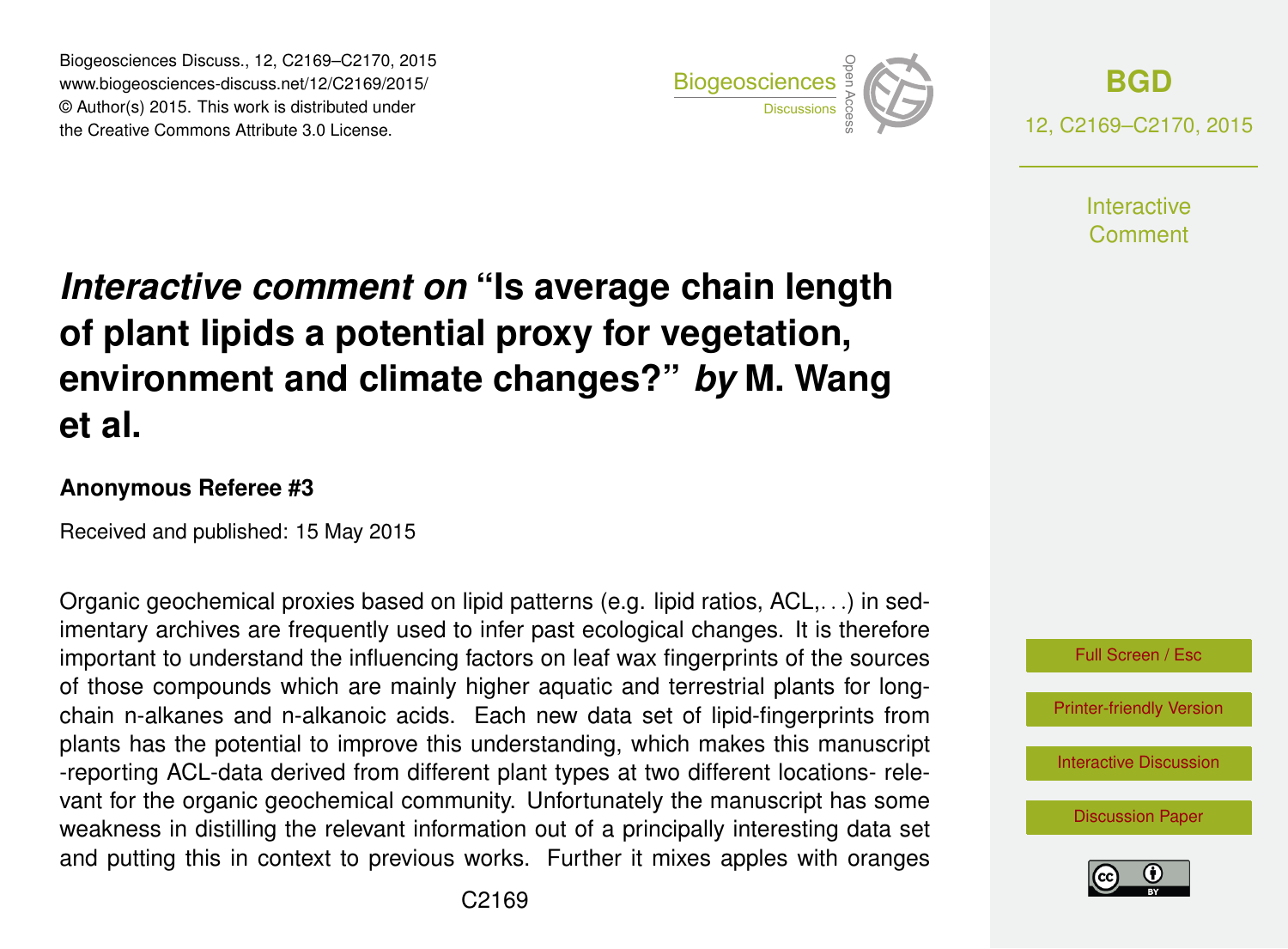Biogeosciences Discuss., 12, C2169–C2170, 2015 www.biogeosciences-discuss.net/12/C2169/2015/ © Author(s) 2015. This work is distributed under Biogeosciences Discuss., 12, C2169–C2170, 2015<br>
www.biogeosciences-discuss.net/12/C2169/2015/<br>
© Author(s) 2015. This work is distributed under<br>
the Creative Commons Attribute 3.0 License.



**[BGD](http://www.biogeosciences-discuss.net)** 12, C2169–C2170, 2015

> **Interactive** Comment

## *Interactive comment on* **"Is average chain length of plant lipids a potential proxy for vegetation, environment and climate changes?"** *by* **M. Wang et al.**

## **Anonymous Referee #3**

Received and published: 15 May 2015

Organic geochemical proxies based on lipid patterns (e.g. lipid ratios, ACL,. . .) in sedimentary archives are frequently used to infer past ecological changes. It is therefore important to understand the influencing factors on leaf wax fingerprints of the sources of those compounds which are mainly higher aquatic and terrestrial plants for longchain n-alkanes and n-alkanoic acids. Each new data set of lipid-fingerprints from plants has the potential to improve this understanding, which makes this manuscript -reporting ACL-data derived from different plant types at two different locations- relevant for the organic geochemical community. Unfortunately the manuscript has some weakness in distilling the relevant information out of a principally interesting data set and putting this in context to previous works. Further it mixes apples with oranges